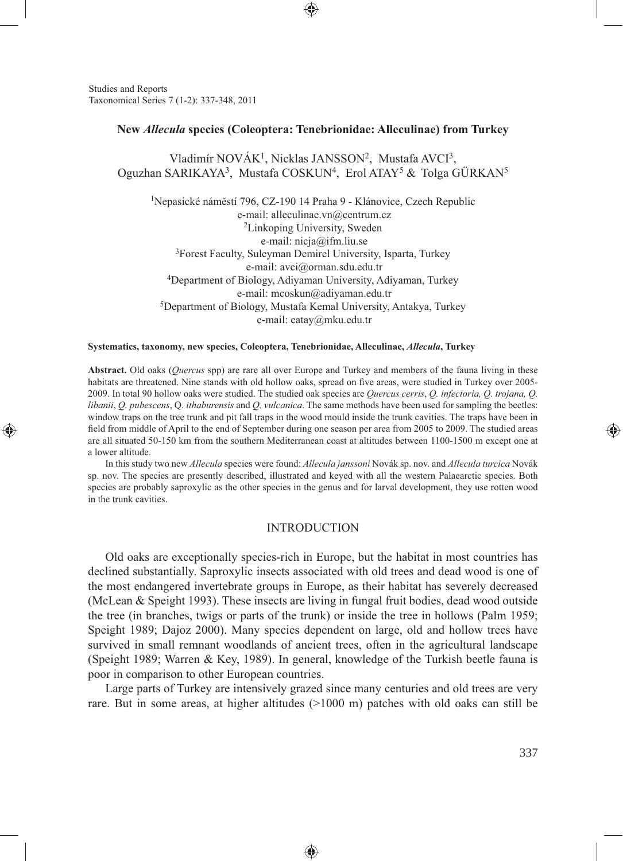Studies and Reports Taxonomical Series 7 (1-2): 337-348, 2011

⊕

#### **New** *Allecula* **species (Coleoptera: Tenebrionidae: Alleculinae) from Turkey**

⊕

Vladimír NOVÁK<sup>1</sup>, Nicklas JANSSON<sup>2</sup>, Mustafa AVCI<sup>3</sup>, Oguzhan SARIKAYA<sup>3</sup>, Mustafa COSKUN<sup>4</sup>, Erol ATAY<sup>5</sup> & Tolga GÜRKAN<sup>5</sup>

1Nepasické náměstí 796, CZ-190 14 Praha 9 - Klánovice, Czech Republic e-mail: alleculinae.vn@centrum.cz 2Linkoping University, Sweden e-mail: nicja@ifm.liu.se 3Forest Faculty, Suleyman Demirel University, Isparta, Turkey e-mail: avci@orman.sdu.edu.tr 4Department of Biology, Adiyaman University, Adiyaman, Turkey e-mail: mcoskun@adiyaman.edu.tr 5Department of Biology, Mustafa Kemal University, Antakya, Turkey e-mail: eatay@mku.edu.tr

#### **Systematics, taxonomy, new species, Coleoptera, Tenebrionidae, Alleculinae,** *Allecula***, Turkey**

**Abstract.** Old oaks (*Quercus* spp) are rare all over Europe and Turkey and members of the fauna living in these habitats are threatened. Nine stands with old hollow oaks, spread on five areas, were studied in Turkey over 2005-2009. In total 90 hollow oaks were studied. The studied oak species are *Quercus cerris*, *Q. infectoria, Q. trojana, Q. libanii*, *Q. pubescens*, Q. *ithaburensis* and *Q. vulcanica*. The same methods have been used for sampling the beetles: window traps on the tree trunk and pit fall traps in the wood mould inside the trunk cavities. The traps have been in field from middle of April to the end of September during one season per area from 2005 to 2009. The studied areas are all situated 50-150 km from the southern Mediterranean coast at altitudes between 1100-1500 m except one at a lower altitude.

In this study two new *Allecula* species were found: *Allecula janssoni* Novák sp. nov. and *Allecula turcica* Novák sp. nov. The species are presently described, illustrated and keyed with all the western Palaearctic species. Both species are probably saproxylic as the other species in the genus and for larval development, they use rotten wood in the trunk cavities.

#### INTRODUCTION

Old oaks are exceptionally species-rich in Europe, but the habitat in most countries has declined substantially. Saproxylic insects associated with old trees and dead wood is one of the most endangered invertebrate groups in Europe, as their habitat has severely decreased (McLean & Speight 1993). These insects are living in fungal fruit bodies, dead wood outside the tree (in branches, twigs or parts of the trunk) or inside the tree in hollows (Palm 1959; Speight 1989; Dajoz 2000). Many species dependent on large, old and hollow trees have survived in small remnant woodlands of ancient trees, often in the agricultural landscape (Speight 1989; Warren & Key, 1989). In general, knowledge of the Turkish beetle fauna is poor in comparison to other European countries.

Large parts of Turkey are intensively grazed since many centuries and old trees are very rare. But in some areas, at higher altitudes (>1000 m) patches with old oaks can still be

◈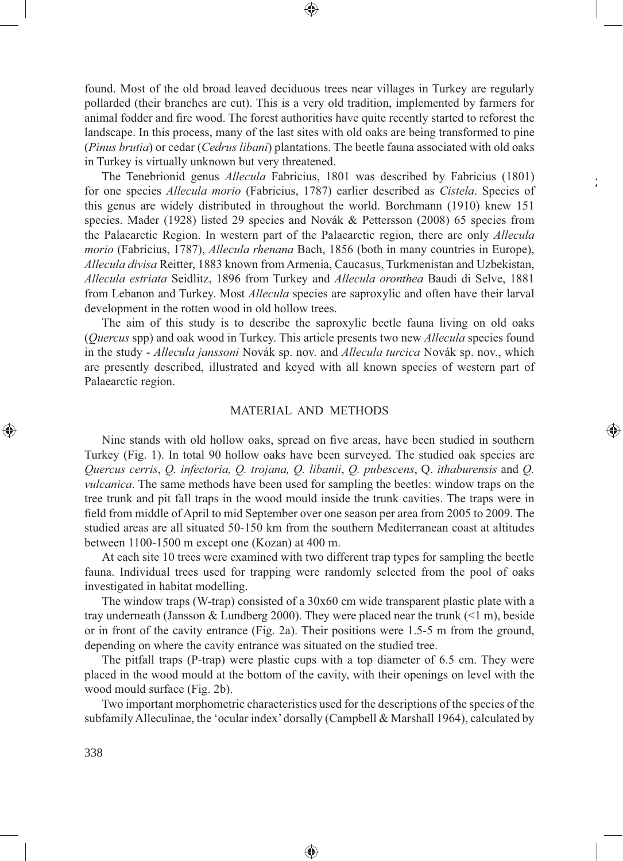found. Most of the old broad leaved deciduous trees near villages in Turkey are regularly pollarded (their branches are cut). This is a very old tradition, implemented by farmers for animal fodder and fire wood. The forest authorities have quite recently started to reforest the landscape. In this process, many of the last sites with old oaks are being transformed to pine (*Pinus brutia*) or cedar (*Cedrus libani*) plantations. The beetle fauna associated with old oaks in Turkey is virtually unknown but very threatened.

⊕

 $\frac{1}{4}$ 

⊕

The Tenebrionid genus *Allecula* Fabricius, 1801 was described by Fabricius (1801) for one species *Allecula morio* (Fabricius, 1787) earlier described as *Cistela*. Species of this genus are widely distributed in throughout the world. Borchmann (1910) knew 151 species. Mader (1928) listed 29 species and Novák & Pettersson (2008) 65 species from the Palaearctic Region. In western part of the Palaearctic region, there are only *Allecula morio* (Fabricius, 1787), *Allecula rhenana* Bach, 1856 (both in many countries in Europe), *Allecula divisa* Reitter, 1883 known from Armenia, Caucasus, Turkmenistan and Uzbekistan, *Allecula estriata* Seidlitz, 1896 from Turkey and *Allecula oronthea* Baudi di Selve, 1881 from Lebanon and Turkey. Most *Allecula* species are saproxylic and often have their larval development in the rotten wood in old hollow trees.

The aim of this study is to describe the saproxylic beetle fauna living on old oaks (*Quercus* spp) and oak wood in Turkey. This article presents two new *Allecula* species found in the study - *Allecula janssoni* Novák sp. nov. and *Allecula turcica* Novák sp. nov., which are presently described, illustrated and keyed with all known species of western part of Palaearctic region.

#### MATERIAL AND METHODS

Nine stands with old hollow oaks, spread on five areas, have been studied in southern Turkey (Fig. 1). In total 90 hollow oaks have been surveyed. The studied oak species are *Quercus cerris*, *Q. infectoria, Q. trojana, Q. libanii*, *Q. pubescens*, Q. *ithaburensis* and *Q. vulcanica*. The same methods have been used for sampling the beetles: window traps on the tree trunk and pit fall traps in the wood mould inside the trunk cavities. The traps were in field from middle of April to mid September over one season per area from 2005 to 2009. The studied areas are all situated 50-150 km from the southern Mediterranean coast at altitudes between 1100-1500 m except one (Kozan) at 400 m.

At each site 10 trees were examined with two different trap types for sampling the beetle fauna. Individual trees used for trapping were randomly selected from the pool of oaks investigated in habitat modelling.

The window traps (W-trap) consisted of a 30x60 cm wide transparent plastic plate with a tray underneath (Jansson & Lundberg 2000). They were placed near the trunk  $(\leq 1 \text{ m})$ , beside or in front of the cavity entrance (Fig. 2a). Their positions were 1.5-5 m from the ground, depending on where the cavity entrance was situated on the studied tree.

The pitfall traps (P-trap) were plastic cups with a top diameter of 6.5 cm. They were placed in the wood mould at the bottom of the cavity, with their openings on level with the wood mould surface (Fig. 2b).

Two important morphometric characteristics used for the descriptions of the species of the subfamily Alleculinae, the 'ocular index' dorsally (Campbell & Marshall 1964), calculated by

♠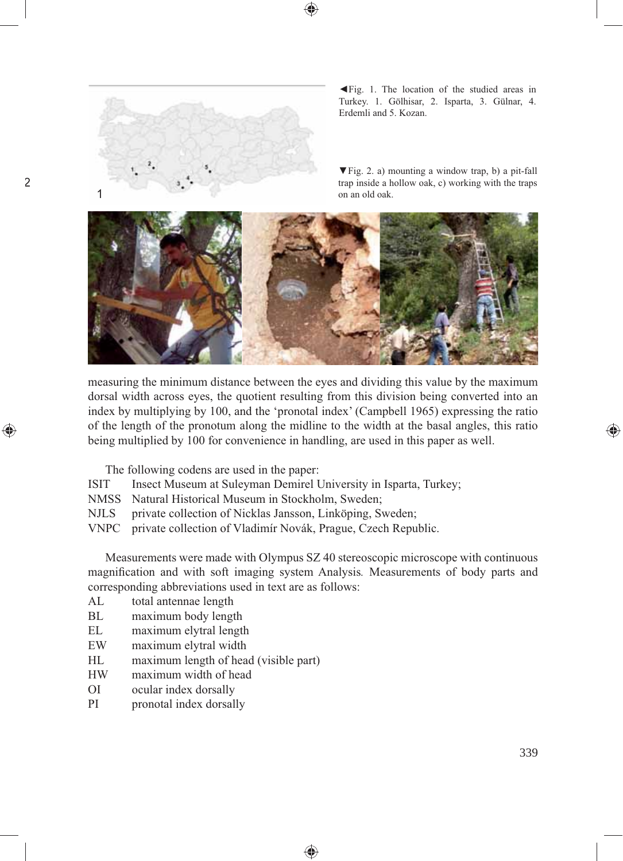

2

⊕

◄Fig. 1. The location of the studied areas in Turkey. 1. Gölhisar, 2. Isparta, 3. Gülnar, 4. Erdemli and 5. Kozan.

▼Fig. 2. a) mounting a window trap, b) a pit-fall trap inside a hollow oak, c) working with the traps



measuring the minimum distance between the eyes and dividing this value by the maximum dorsal width across eyes, the quotient resulting from this division being converted into an index by multiplying by 100, and the 'pronotal index' (Campbell 1965) expressing the ratio of the length of the pronotum along the midline to the width at the basal angles, this ratio being multiplied by 100 for convenience in handling, are used in this paper as well.

The following codens are used in the paper:

- ISIT Insect Museum at Suleyman Demirel University in Isparta, Turkey;
- NMSS Natural Historical Museum in Stockholm, Sweden;
- NJLS private collection of Nicklas Jansson, Linköping, Sweden;
- VNPC private collection of Vladimír Novák, Prague, Czech Republic.

Measurements were made with Olympus SZ 40 stereoscopic microscope with continuous magnifi cation and with soft imaging system Analysis*.* Measurements of body parts and corresponding abbreviations used in text are as follows:

- AL total antennae length
- BL maximum body length
- EL maximum elytral length
- EW maximum elytral width
- HL maximum length of head (visible part)
- HW maximum width of head
- OI ocular index dorsally
- PI pronotal index dorsally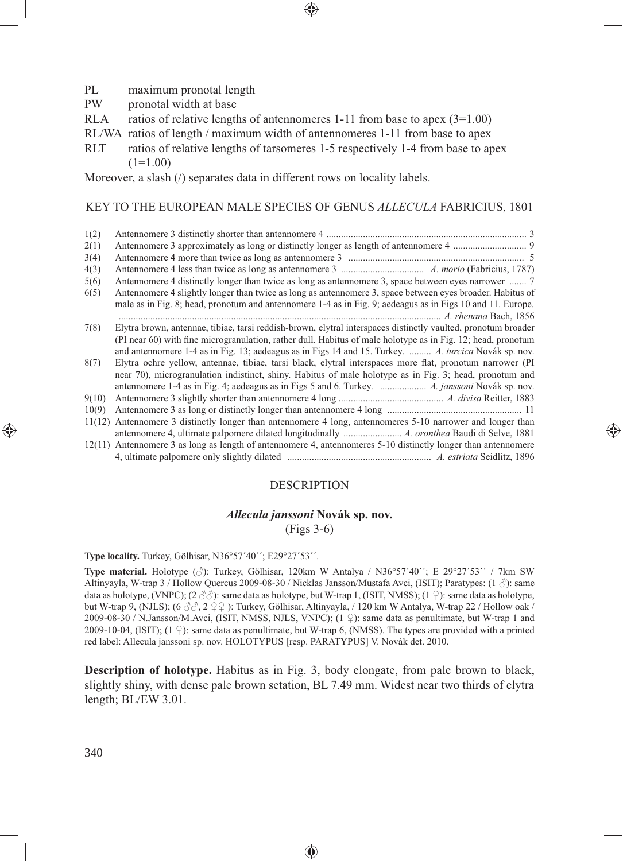- PL maximum pronotal length
- PW pronotal width at base
- RLA ratios of relative lengths of antennomeres 1-11 from base to apex  $(3=1.00)$
- RL/WA ratios of length / maximum width of antennomeres 1-11 from base to apex
- RLT ratios of relative lengths of tarsomeres 1-5 respectively 1-4 from base to apex  $(1=1.00)$

Moreover, a slash  $\theta$  separates data in different rows on locality labels.

#### KEY TO THE EUROPEAN MALE SPECIES OF GENUS *ALLECULA* FABRICIUS, 1801

⊕

| 1(2)  |                                                                                                               |
|-------|---------------------------------------------------------------------------------------------------------------|
| 2(1)  |                                                                                                               |
| 3(4)  |                                                                                                               |
| 4(3)  |                                                                                                               |
| 5(6)  | Antennomere 4 distinctly longer than twice as long as antennomere 3, space between eyes narrower  7           |
| 6(5)  | Antennomere 4 slightly longer than twice as long as antennomere 3, space between eyes broader. Habitus of     |
|       | male as in Fig. 8; head, pronotum and antennomere 1-4 as in Fig. 9; aedeagus as in Figs 10 and 11. Europe.    |
|       |                                                                                                               |
| 7(8)  | Elytra brown, antennae, tibiae, tarsi reddish-brown, elytral interspaces distinctly vaulted, pronotum broader |
|       | (PI near 60) with fine microgranulation, rather dull. Habitus of male holotype as in Fig. 12; head, pronotum  |
|       | and antennomere 1-4 as in Fig. 13; aedeagus as in Figs 14 and 15. Turkey.  A. turcica Novák sp. nov.          |
| 8(7)  | Elytra ochre yellow, antennae, tibiae, tarsi black, elytral interspaces more flat, pronotum narrower (PI      |
|       | near 70), microgranulation indistinct, shiny. Habitus of male holotype as in Fig. 3; head, pronotum and       |
|       |                                                                                                               |
| 9(10) |                                                                                                               |
| 10(9) |                                                                                                               |
|       | 11(12) Antennomere 3 distinctly longer than antennomere 4 long, antennomeres 5-10 narrower and longer than    |
|       |                                                                                                               |
|       | 12(11) Antennomere 3 as long as length of antennomere 4, antennomeres 5-10 distinctly longer than antennomere |
|       |                                                                                                               |

#### DESCRIPTION

⊕

# *Allecula janssoni* **Novák sp. nov.**

(Figs 3-6)

**Type locality.** Turkey, Gölhisar, N36°57´40´´; E29°27´53´´.

**Type material.** Holotype  $(\text{A})$ : Turkey, Gölhisar, 120km W Antalya / N36°57´40´´; E 29°27′53´´ / 7km SW Altinyayla, W-trap 3 / Hollow Quercus 2009-08-30 / Nicklas Jansson/Mustafa Avci, (ISIT); Paratypes: (1 ♂): same data as holotype, (VNPC);  $(2 \text{ } \textcircled{3})$ : same data as holotype, but W-trap 1, (ISIT, NMSS);  $(1 \text{ } \textcircled{1})$ : same data as holotype, but W-trap 9, (NJLS); (6 ♂♂, 2 ♀♀ ): Turkey, Gölhisar, Altinyayla, / 120 km W Antalya, W-trap 22 / Hollow oak / 2009-08-30 / N.Jansson/M.Avci, (ISIT, NMSS, NJLS, VNPC); (1 ♀): same data as penultimate, but W-trap 1 and 2009-10-04, (ISIT);  $(1 \nsubseteq)$ : same data as penultimate, but W-trap 6, (NMSS). The types are provided with a printed red label: Allecula janssoni sp. nov. HOLOTYPUS [resp. PARATYPUS] V. Novák det. 2010.

**Description of holotype.** Habitus as in Fig. 3, body elongate, from pale brown to black, slightly shiny, with dense pale brown setation, BL 7.49 mm. Widest near two thirds of elytra length; BL/EW 3.01.

♠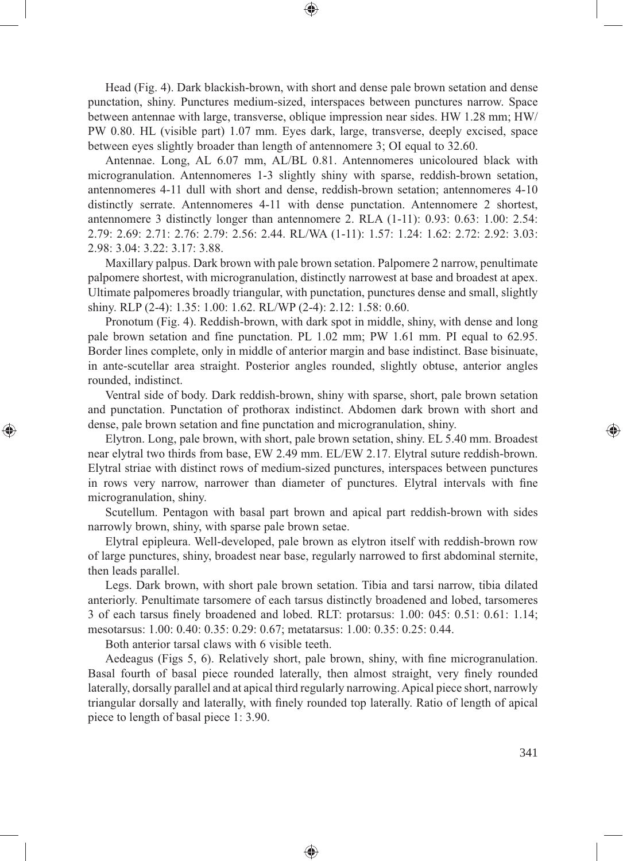Head (Fig. 4). Dark blackish-brown, with short and dense pale brown setation and dense punctation, shiny. Punctures medium-sized, interspaces between punctures narrow. Space between antennae with large, transverse, oblique impression near sides. HW 1.28 mm; HW/ PW 0.80. HL (visible part) 1.07 mm. Eyes dark, large, transverse, deeply excised, space between eyes slightly broader than length of antennomere 3; OI equal to 32.60.

⊕

Antennae. Long, AL 6.07 mm, AL/BL 0.81. Antennomeres unicoloured black with microgranulation. Antennomeres 1-3 slightly shiny with sparse, reddish-brown setation, antennomeres 4-11 dull with short and dense, reddish-brown setation; antennomeres 4-10 distinctly serrate. Antennomeres 4-11 with dense punctation. Antennomere 2 shortest, antennomere 3 distinctly longer than antennomere 2. RLA (1-11): 0.93: 0.63: 1.00: 2.54: 2.79: 2.69: 2.71: 2.76: 2.79: 2.56: 2.44. RL/WA (1-11): 1.57: 1.24: 1.62: 2.72: 2.92: 3.03: 2.98: 3.04: 3.22: 3.17: 3.88.

Maxillary palpus. Dark brown with pale brown setation. Palpomere 2 narrow, penultimate palpomere shortest, with microgranulation, distinctly narrowest at base and broadest at apex. Ultimate palpomeres broadly triangular, with punctation, punctures dense and small, slightly shiny. RLP (2-4): 1.35: 1.00: 1.62. RL/WP (2-4): 2.12: 1.58: 0.60.

Pronotum (Fig. 4). Reddish-brown, with dark spot in middle, shiny, with dense and long pale brown setation and fine punctation. PL 1.02 mm; PW 1.61 mm. PI equal to 62.95. Border lines complete, only in middle of anterior margin and base indistinct. Base bisinuate, in ante-scutellar area straight. Posterior angles rounded, slightly obtuse, anterior angles rounded, indistinct.

Ventral side of body. Dark reddish-brown, shiny with sparse, short, pale brown setation and punctation. Punctation of prothorax indistinct. Abdomen dark brown with short and dense, pale brown setation and fine punctation and microgranulation, shiny.

Elytron. Long, pale brown, with short, pale brown setation, shiny. EL 5.40 mm. Broadest near elytral two thirds from base, EW 2.49 mm. EL/EW 2.17. Elytral suture reddish-brown. Elytral striae with distinct rows of medium-sized punctures, interspaces between punctures in rows very narrow, narrower than diameter of punctures. Elytral intervals with fine microgranulation, shiny.

Scutellum. Pentagon with basal part brown and apical part reddish-brown with sides narrowly brown, shiny, with sparse pale brown setae.

Elytral epipleura. Well-developed, pale brown as elytron itself with reddish-brown row of large punctures, shiny, broadest near base, regularly narrowed to first abdominal sternite, then leads parallel.

Legs. Dark brown, with short pale brown setation. Tibia and tarsi narrow, tibia dilated anteriorly. Penultimate tarsomere of each tarsus distinctly broadened and lobed, tarsomeres 3 of each tarsus finely broadened and lobed. RLT: protarsus:  $1.00: 045: 0.51: 0.61: 1.14;$ mesotarsus: 1.00: 0.40: 0.35: 0.29: 0.67; metatarsus: 1.00: 0.35: 0.25: 0.44.

Both anterior tarsal claws with 6 visible teeth.

⊕

Aedeagus (Figs 5, 6). Relatively short, pale brown, shiny, with fine microgranulation. Basal fourth of basal piece rounded laterally, then almost straight, very finely rounded laterally, dorsally parallel and at apical third regularly narrowing. Apical piece short, narrowly triangular dorsally and laterally, with finely rounded top laterally. Ratio of length of apical piece to length of basal piece 1: 3.90.

◈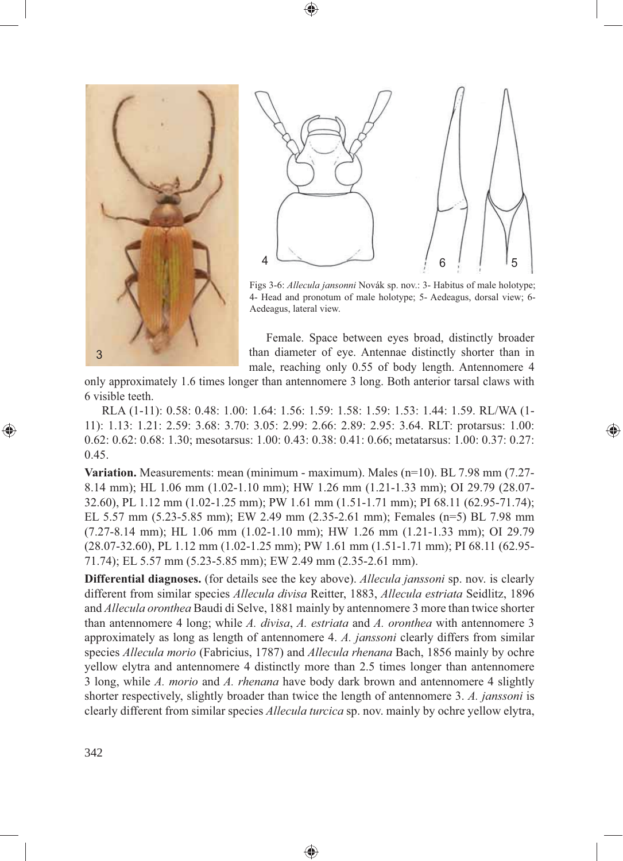



Figs 3-6: *Allecula jansonni* Novák sp. nov.: 3- Habitus of male holotype; 4- Head and pronotum of male holotype; 5- Aedeagus, dorsal view; 6- Aedeagus, lateral view.

Female. Space between eyes broad, distinctly broader than diameter of eye. Antennae distinctly shorter than in male, reaching only 0.55 of body length. Antennomere 4

⊕

only approximately 1.6 times longer than antennomere 3 long. Both anterior tarsal claws with 6 visible teeth.

⊕

RLA (1-11): 0.58: 0.48: 1.00: 1.64: 1.56: 1.59: 1.58: 1.59: 1.53: 1.44: 1.59. RL/WA (1- 11): 1.13: 1.21: 2.59: 3.68: 3.70: 3.05: 2.99: 2.66: 2.89: 2.95: 3.64. RLT: protarsus: 1.00: 0.62: 0.62: 0.68: 1.30; mesotarsus: 1.00: 0.43: 0.38: 0.41: 0.66; metatarsus: 1.00: 0.37: 0.27: 0.45.

**Variation.** Measurements: mean (minimum - maximum). Males (n=10). BL 7.98 mm (7.27- 8.14 mm); HL 1.06 mm (1.02-1.10 mm); HW 1.26 mm (1.21-1.33 mm); OI 29.79 (28.07- 32.60), PL 1.12 mm (1.02-1.25 mm); PW 1.61 mm (1.51-1.71 mm); PI 68.11 (62.95-71.74); EL 5.57 mm (5.23-5.85 mm); EW 2.49 mm (2.35-2.61 mm); Females (n=5) BL 7.98 mm (7.27-8.14 mm); HL 1.06 mm (1.02-1.10 mm); HW 1.26 mm (1.21-1.33 mm); OI 29.79 (28.07-32.60), PL 1.12 mm (1.02-1.25 mm); PW 1.61 mm (1.51-1.71 mm); PI 68.11 (62.95- 71.74); EL 5.57 mm (5.23-5.85 mm); EW 2.49 mm (2.35-2.61 mm).

**Differential diagnoses.** (for details see the key above). *Allecula janssoni* sp. nov. is clearly different from similar species *Allecula divisa* Reitter, 1883, *Allecula estriata* Seidlitz, 1896 and *Allecula oronthea* Baudi di Selve, 1881 mainly by antennomere 3 more than twice shorter than antennomere 4 long; while *A. divisa*, *A. estriata* and *A. oronthea* with antennomere 3 approximately as long as length of antennomere 4. *A. janssoni* clearly differs from similar species *Allecula morio* (Fabricius, 1787) and *Allecula rhenana* Bach, 1856 mainly by ochre yellow elytra and antennomere 4 distinctly more than 2.5 times longer than antennomere 3 long, while *A. morio* and *A. rhenana* have body dark brown and antennomere 4 slightly shorter respectively, slightly broader than twice the length of antennomere 3. *A. janssoni* is clearly different from similar species *Allecula turcica* sp. nov. mainly by ochre yellow elytra,

◈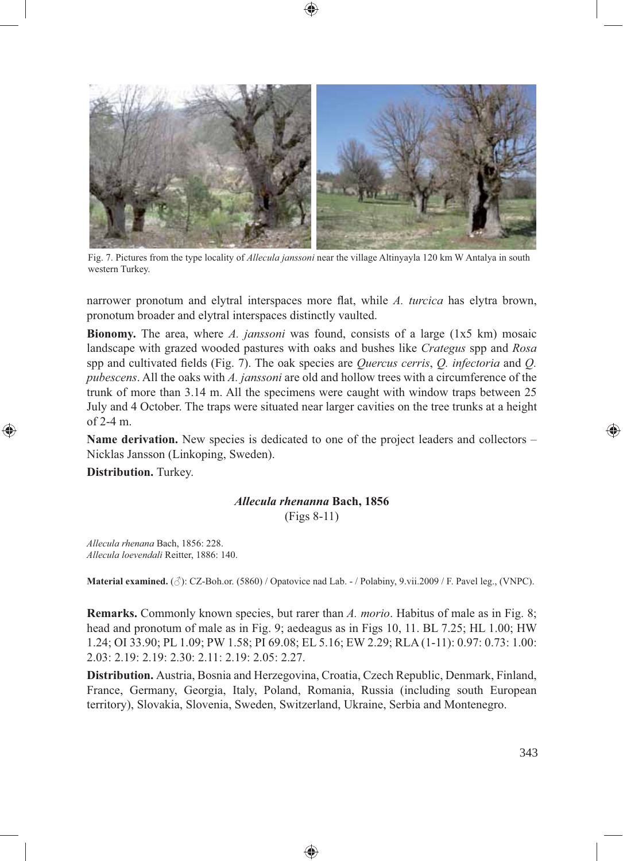

Fig. 7. Pictures from the type locality of *Allecula janssoni* near the village Altinyayla 120 km W Antalya in south western Turkey.

narrower pronotum and elytral interspaces more flat, while *A. turcica* has elytra brown, pronotum broader and elytral interspaces distinctly vaulted.

**Bionomy.** The area, where *A. janssoni* was found, consists of a large (1x5 km) mosaic landscape with grazed wooded pastures with oaks and bushes like *Crategus* spp and *Rosa* spp and cultivated fields (Fig. 7). The oak species are *Quercus cerris*, *Q. infectoria* and *Q. pubescens*. All the oaks with *A. janssoni* are old and hollow trees with a circumference of the trunk of more than 3.14 m. All the specimens were caught with window traps between 25 July and 4 October. The traps were situated near larger cavities on the tree trunks at a height of 2-4 m.

**Name derivation.** New species is dedicated to one of the project leaders and collectors – Nicklas Jansson (Linkoping, Sweden).

**Distribution.** Turkey.

⊕

## *Allecula rhenanna* **Bach, 1856**

(Figs 8-11)

*Allecula rhenana* Bach, 1856: 228. *Allecula loevendali* Reitter, 1886: 140.

**Material examined.** (♂): CZ-Boh.or. (5860) / Opatovice nad Lab. - / Polabiny, 9.vii.2009 / F. Pavel leg., (VNPC).

**Remarks.** Commonly known species, but rarer than *A. morio*. Habitus of male as in Fig. 8; head and pronotum of male as in Fig. 9; aedeagus as in Figs 10, 11. BL 7.25; HL 1.00; HW 1.24; OI 33.90; PL 1.09; PW 1.58; PI 69.08; EL 5.16; EW 2.29; RLA (1-11): 0.97: 0.73: 1.00: 2.03: 2.19: 2.19: 2.30: 2.11: 2.19: 2.05: 2.27.

**Distribution.** Austria, Bosnia and Herzegovina, Croatia, Czech Republic, Denmark, Finland, France, Germany, Georgia, Italy, Poland, Romania, Russia (including south European territory), Slovakia, Slovenia, Sweden, Switzerland, Ukraine, Serbia and Montenegro.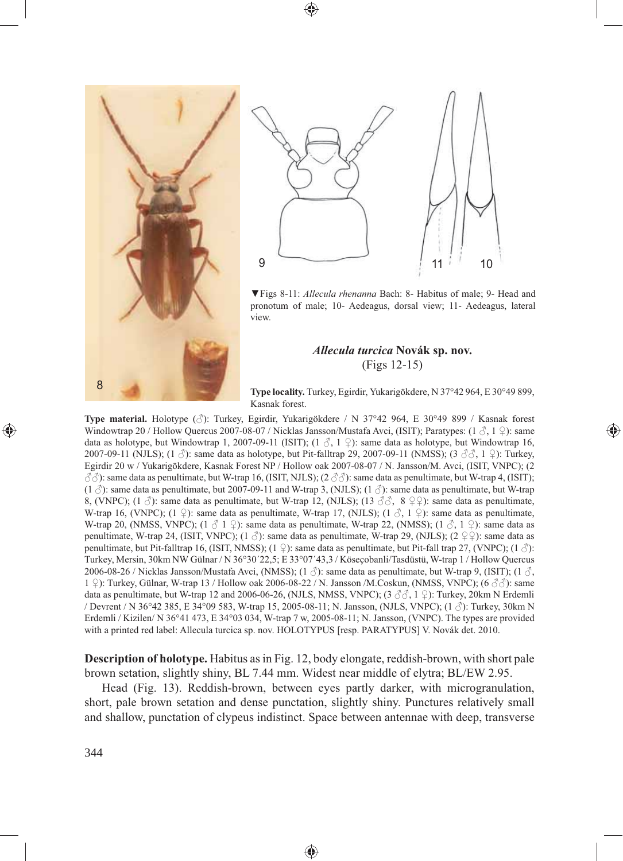⊕





▼Figs 8-11: *Allecula rhenanna* Bach: 8- Habitus of male; 9- Head and pronotum of male; 10- Aedeagus, dorsal view; 11- Aedeagus, lateral view.

### *Allecula turcica* **Novák sp. nov.** (Figs 12-15)

**Type locality.** Turkey, Egirdir, Yukarigökdere, N 37°42 964, E 30°49 899, Kasnak forest.

⊕

**Type material.** Holotype (♂): Turkey, Egirdir, Yukarigökdere / N 37°42 964, E 30°49 899 / Kasnak forest Windowtrap 20 / Hollow Quercus 2007-08-07 / Nicklas Jansson/Mustafa Avci, (ISIT); Paratypes:  $(1 \nleq 1 \nleq)$ : same data as holotype, but Windowtrap 1, 2007-09-11 (ISIT); (1  $\delta$ , 1  $\Omega$ ): same data as holotype, but Windowtrap 16, 2007-09-11 (NJLS); (1 ♂): same data as holotype, but Pit-falltrap 29, 2007-09-11 (NMSS); (3 ♂♂, 1 ♀): Turkey, Egirdir 20 w / Yukarigökdere, Kasnak Forest NP / Hollow oak 2007-08-07 / N. Jansson/M. Avci, (ISIT, VNPC); (2  $\Im\Im$ ): same data as penultimate, but W-trap 16, (ISIT, NJLS); (2  $\Im\Im$ ): same data as penultimate, but W-trap 4, (ISIT);  $(1 \text{ } \mathcal{S})$ : same data as penultimate, but 2007-09-11 and W-trap 3, (NJLS);  $(1 \text{ } \mathcal{S})$ : same data as penultimate, but W-trap 8, (VNPC); (1  $\delta$ ): same data as penultimate, but W-trap 12, (NJLS); (13  $\delta\delta$ , 8  $\Omega$ ): same data as penultimate, W-trap 16, (VNPC); (1  $\varphi$ ): same data as penultimate, W-trap 17, (NJLS); (1  $\varphi$ , 1  $\varphi$ ): same data as penultimate, W-trap 20, (NMSS, VNPC);  $(1 \text{ } \textcircled{3} \text{ } 1 \text{ } \textcircled{2})$ : same data as penultimate, W-trap 22, (NMSS);  $(1 \text{ } \textcircled{3} \text{ } 1 \text{ } \textcircled{2})$ : same data as penultimate, W-trap 24, (ISIT, VNPC); (1  $\Diamond$ ): same data as penultimate, W-trap 29, (NJLS); (2  $\Diamond$   $\Diamond$ ): same data as penultimate, but Pit-falltrap 16, (ISIT, NMSS);  $(1 \nvert 2)$ : same data as penultimate, but Pit-fall trap 27, (VNPC);  $(1 \nvert 3)$ : Turkey, Mersin, 30km NW Gülnar / N 36°30´22,5; E 33°07´43,3 / Köseçobanli/Tasdüstü, W-trap 1 / Hollow Quercus 2006-08-26 / Nicklas Jansson/Mustafa Avci, (NMSS); (1  $\beta$ ): same data as penultimate, but W-trap 9, (ISIT); (1  $\beta$ , 1  $\circ$ ): Turkey, Gülnar, W-trap 13 / Hollow oak 2006-08-22 / N. Jansson /M.Coskun, (NMSS, VNPC); (6  $\circ$  $\circ$ ): same data as penultimate, but W-trap 12 and 2006-06-26, (NJLS, NMSS, VNPC); (3 ♂♂, 1 ♀): Turkey, 20km N Erdemli / Devrent / N 36°42 385, E 34°09 583, W-trap 15, 2005-08-11; N. Jansson, (NJLS, VNPC); (1 ♂): Turkey, 30km N Erdemli / Kizilen/ N 36°41 473, E 34°03 034, W-trap 7 w, 2005-08-11; N. Jansson, (VNPC). The types are provided with a printed red label: Allecula turcica sp. nov. HOLOTYPUS [resp. PARATYPUS] V. Novák det. 2010.

**Description of holotype.** Habitus as in Fig. 12, body elongate, reddish-brown, with short pale brown setation, slightly shiny, BL 7.44 mm. Widest near middle of elytra; BL/EW 2.95.

Head (Fig. 13). Reddish-brown, between eyes partly darker, with microgranulation, short, pale brown setation and dense punctation, slightly shiny. Punctures relatively small and shallow, punctation of clypeus indistinct. Space between antennae with deep, transverse

⊕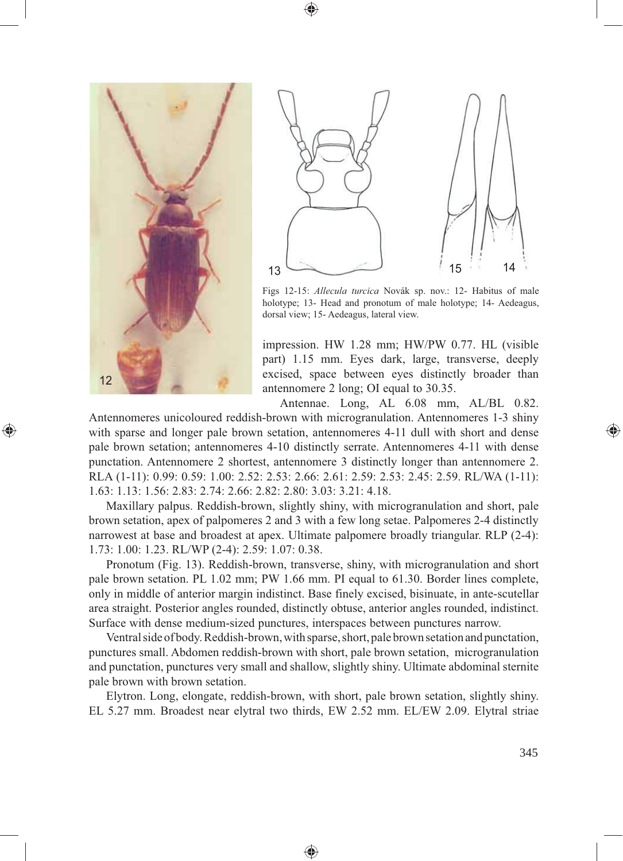



⊕



Figs 12-15: *Allecula turcica* Novák sp. nov.: 12- Habitus of male holotype; 13- Head and pronotum of male holotype; 14- Aedeagus, dorsal view; 15- Aedeagus, lateral view.

impression. HW 1.28 mm; HW/PW 0.77. HL (visible part) 1.15 mm. Eyes dark, large, transverse, deeply excised, space between eyes distinctly broader than antennomere 2 long; OI equal to 30.35.

Antennae. Long, AL 6.08 mm, AL/BL 0.82. Antennomeres unicoloured reddish-brown with microgranulation. Antennomeres 1-3 shiny with sparse and longer pale brown setation, antennomeres 4-11 dull with short and dense pale brown setation; antennomeres 4-10 distinctly serrate. Antennomeres 4-11 with dense punctation. Antennomere 2 shortest, antennomere 3 distinctly longer than antennomere 2. RLA (1-11): 0.99: 0.59: 1.00: 2.52: 2.53: 2.66: 2.61: 2.59: 2.53: 2.45: 2.59. RL/WA (1-11): 1.63: 1.13: 1.56: 2.83: 2.74: 2.66: 2.82: 2.80: 3.03: 3.21: 4.18.

Maxillary palpus. Reddish-brown, slightly shiny, with microgranulation and short, pale brown setation, apex of palpomeres 2 and 3 with a few long setae. Palpomeres 2-4 distinctly narrowest at base and broadest at apex. Ultimate palpomere broadly triangular. RLP (2-4): 1.73: 1.00: 1.23. RL/WP (2-4): 2.59: 1.07: 0.38.

Pronotum (Fig. 13). Reddish-brown, transverse, shiny, with microgranulation and short pale brown setation. PL 1.02 mm; PW 1.66 mm. PI equal to 61.30. Border lines complete, only in middle of anterior margin indistinct. Base finely excised, bisinuate, in ante-scutellar area straight. Posterior angles rounded, distinctly obtuse, anterior angles rounded, indistinct. Surface with dense medium-sized punctures, interspaces between punctures narrow.

Ventral side of body. Reddish-brown, with sparse, short, pale brown setation and punctation, punctures small. Abdomen reddish-brown with short, pale brown setation, microgranulation and punctation, punctures very small and shallow, slightly shiny. Ultimate abdominal sternite pale brown with brown setation.

Elytron. Long, elongate, reddish-brown, with short, pale brown setation, slightly shiny. EL 5.27 mm. Broadest near elytral two thirds, EW 2.52 mm. EL/EW 2.09. Elytral striae

⊕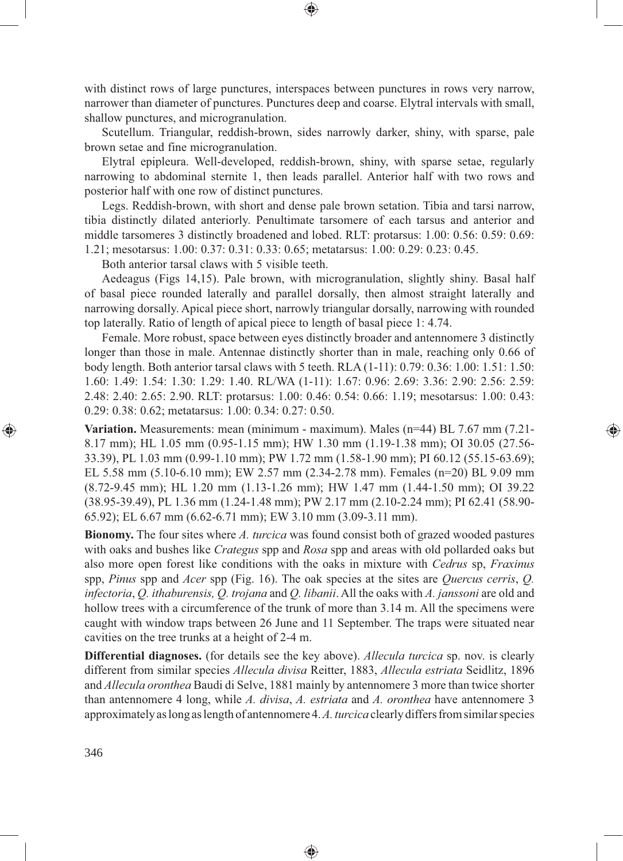with distinct rows of large punctures, interspaces between punctures in rows very narrow, narrower than diameter of punctures. Punctures deep and coarse. Elytral intervals with small, shallow punctures, and microgranulation.

⊕

Scutellum. Triangular, reddish-brown, sides narrowly darker, shiny, with sparse, pale brown setae and fine microgranulation.

Elytral epipleura. Well-developed, reddish-brown, shiny, with sparse setae, regularly narrowing to abdominal sternite 1, then leads parallel. Anterior half with two rows and posterior half with one row of distinct punctures.

Legs. Reddish-brown, with short and dense pale brown setation. Tibia and tarsi narrow, tibia distinctly dilated anteriorly. Penultimate tarsomere of each tarsus and anterior and middle tarsomeres 3 distinctly broadened and lobed. RLT: protarsus: 1.00: 0.56: 0.59: 0.69: 1.21; mesotarsus: 1.00: 0.37: 0.31: 0.33: 0.65; metatarsus: 1.00: 0.29: 0.23: 0.45.

Both anterior tarsal claws with 5 visible teeth.

Aedeagus (Figs 14,15). Pale brown, with microgranulation, slightly shiny. Basal half of basal piece rounded laterally and parallel dorsally, then almost straight laterally and narrowing dorsally. Apical piece short, narrowly triangular dorsally, narrowing with rounded top laterally. Ratio of length of apical piece to length of basal piece 1: 4.74.

Female. More robust, space between eyes distinctly broader and antennomere 3 distinctly longer than those in male. Antennae distinctly shorter than in male, reaching only 0.66 of body length. Both anterior tarsal claws with 5 teeth. RLA (1-11): 0.79: 0.36: 1.00: 1.51: 1.50: 1.60: 1.49: 1.54: 1.30: 1.29: 1.40. RL/WA (1-11): 1.67: 0.96: 2.69: 3.36: 2.90: 2.56: 2.59: 2.48: 2.40: 2.65: 2.90. RLT: protarsus: 1.00: 0.46: 0.54: 0.66: 1.19; mesotarsus: 1.00: 0.43: 0.29: 0.38: 0.62; metatarsus: 1.00: 0.34: 0.27: 0.50.

**Variation.** Measurements: mean (minimum - maximum). Males (n=44) BL 7.67 mm (7.21- 8.17 mm); HL 1.05 mm (0.95-1.15 mm); HW 1.30 mm (1.19-1.38 mm); OI 30.05 (27.56- 33.39), PL 1.03 mm (0.99-1.10 mm); PW 1.72 mm (1.58-1.90 mm); PI 60.12 (55.15-63.69); EL 5.58 mm (5.10-6.10 mm); EW 2.57 mm (2.34-2.78 mm). Females (n=20) BL 9.09 mm (8.72-9.45 mm); HL 1.20 mm (1.13-1.26 mm); HW 1.47 mm (1.44-1.50 mm); OI 39.22 (38.95-39.49), PL 1.36 mm (1.24-1.48 mm); PW 2.17 mm (2.10-2.24 mm); PI 62.41 (58.90- 65.92); EL 6.67 mm (6.62-6.71 mm); EW 3.10 mm (3.09-3.11 mm).

⊕

**Bionomy.** The four sites where *A. turcica* was found consist both of grazed wooded pastures with oaks and bushes like *Crategus* spp and *Rosa* spp and areas with old pollarded oaks but also more open forest like conditions with the oaks in mixture with *Cedrus* sp, *Fraxinus* spp, *Pinus* spp and *Acer* spp (Fig. 16). The oak species at the sites are *Quercus cerris*, *Q. infectoria*, *Q. ithaburensis, Q. trojana* and *Q. libanii*. All the oaks with *A. janssoni* are old and hollow trees with a circumference of the trunk of more than 3.14 m. All the specimens were caught with window traps between 26 June and 11 September. The traps were situated near cavities on the tree trunks at a height of 2-4 m.

**Differential diagnoses.** (for details see the key above). *Allecula turcica* sp. nov. is clearly different from similar species *Allecula divisa* Reitter, 1883, *Allecula estriata* Seidlitz, 1896 and *Allecula oronthea* Baudi di Selve, 1881 mainly by antennomere 3 more than twice shorter than antennomere 4 long, while *A. divisa*, *A. estriata* and *A. oronthea* have antennomere 3 approximately as long as length of antennomere 4. *A. turcica* clearly differs from similar species

◈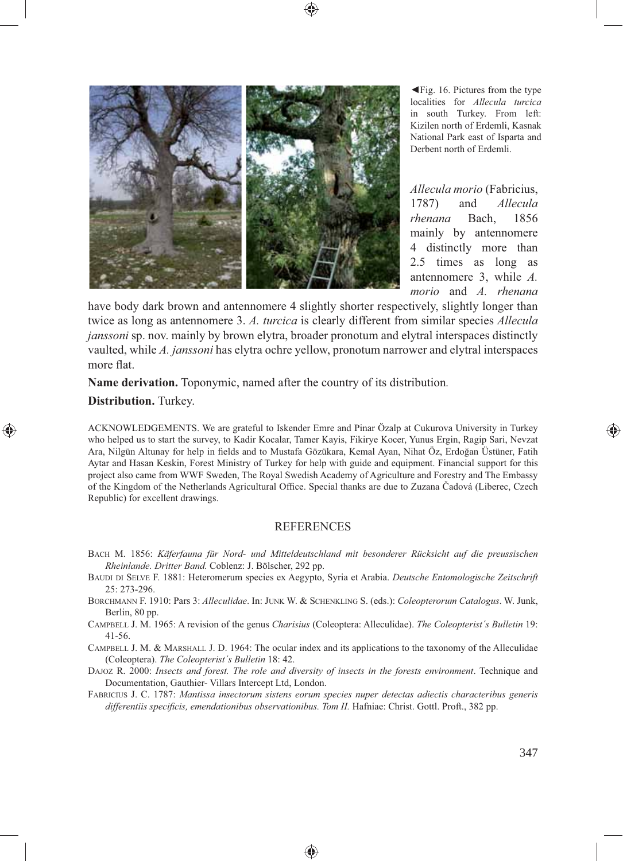

◄Fig. 16. Pictures from the type localities for *Allecula turcica* in south Turkey. From left: Kizilen north of Erdemli, Kasnak National Park east of Isparta and Derbent north of Erdemli.

*Allecula morio* (Fabricius, 1787) and *Allecula rhenana* Bach, 1856 mainly by antennomere 4 distinctly more than 2.5 times as long as antennomere 3, while *A. morio* and *A. rhenana* 

have body dark brown and antennomere 4 slightly shorter respectively, slightly longer than twice as long as antennomere 3. *A. turcica* is clearly different from similar species *Allecula janssoni* sp. nov. mainly by brown elytra, broader pronotum and elytral interspaces distinctly vaulted, while *A. janssoni* has elytra ochre yellow, pronotum narrower and elytral interspaces more flat.

**Name derivation.** Toponymic, named after the country of its distribution*.* 

**Distribution.** Turkey.

⊕

ACKNOWLEDGEMENTS. We are grateful to Iskender Emre and Pinar Özalp at Cukurova University in Turkey who helped us to start the survey, to Kadir Kocalar, Tamer Kayis, Fikirye Kocer, Yunus Ergin, Ragip Sari, Nevzat Ara, Nilgün Altunay for help in fields and to Mustafa Gözükara, Kemal Ayan, Nihat Öz, Erdoğan Üstüner, Fatih Aytar and Hasan Keskin, Forest Ministry of Turkey for help with guide and equipment. Financial support for this project also came from WWF Sweden, The Royal Swedish Academy of Agriculture and Forestry and The Embassy of the Kingdom of the Netherlands Agricultural Office. Special thanks are due to Zuzana Čadová (Liberec, Czech Republic) for excellent drawings.

#### **REFERENCES**

- BACH M. 1856: *Käferfauna für Nord- und Mitteldeutschland mit besonderer Rücksicht auf die preussischen Rheinlande. Dritter Band.* Coblenz: J. Bölscher, 292 pp.
- BAUDI DI SELVE F. 1881: Heteromerum species ex Aegypto, Syria et Arabia. *Deutsche Entomologische Zeitschrift*  25: 273-296.
- BORCHMANN F. 1910: Pars 3: *Alleculidae*. In: JUNK W. & SCHENKLING S. (eds.): *Coleopterorum Catalogus*. W. Junk, Berlin, 80 pp.
- CAMPBELL J. M. 1965: A revision of the genus *Charisius* (Coleoptera: Alleculidae). *The Coleopterist´s Bulletin* 19: 41-56.

CAMPBELL J. M. & MARSHALL J. D. 1964: The ocular index and its applications to the taxonomy of the Alleculidae (Coleoptera). *The Coleopterist´s Bulletin* 18: 42.

DAJOZ R. 2000: *Insects and forest. The role and diversity of insects in the forests environment*. Technique and Documentation, Gauthier- Villars Intercept Ltd, London.

FABRICIUS J. C. 1787: *Mantissa insectorum sistens eorum species nuper detectas adiectis characteribus generis*  differentiis specificis, emendationibus observationibus. Tom II. Hafniae: Christ. Gottl. Proft., 382 pp.